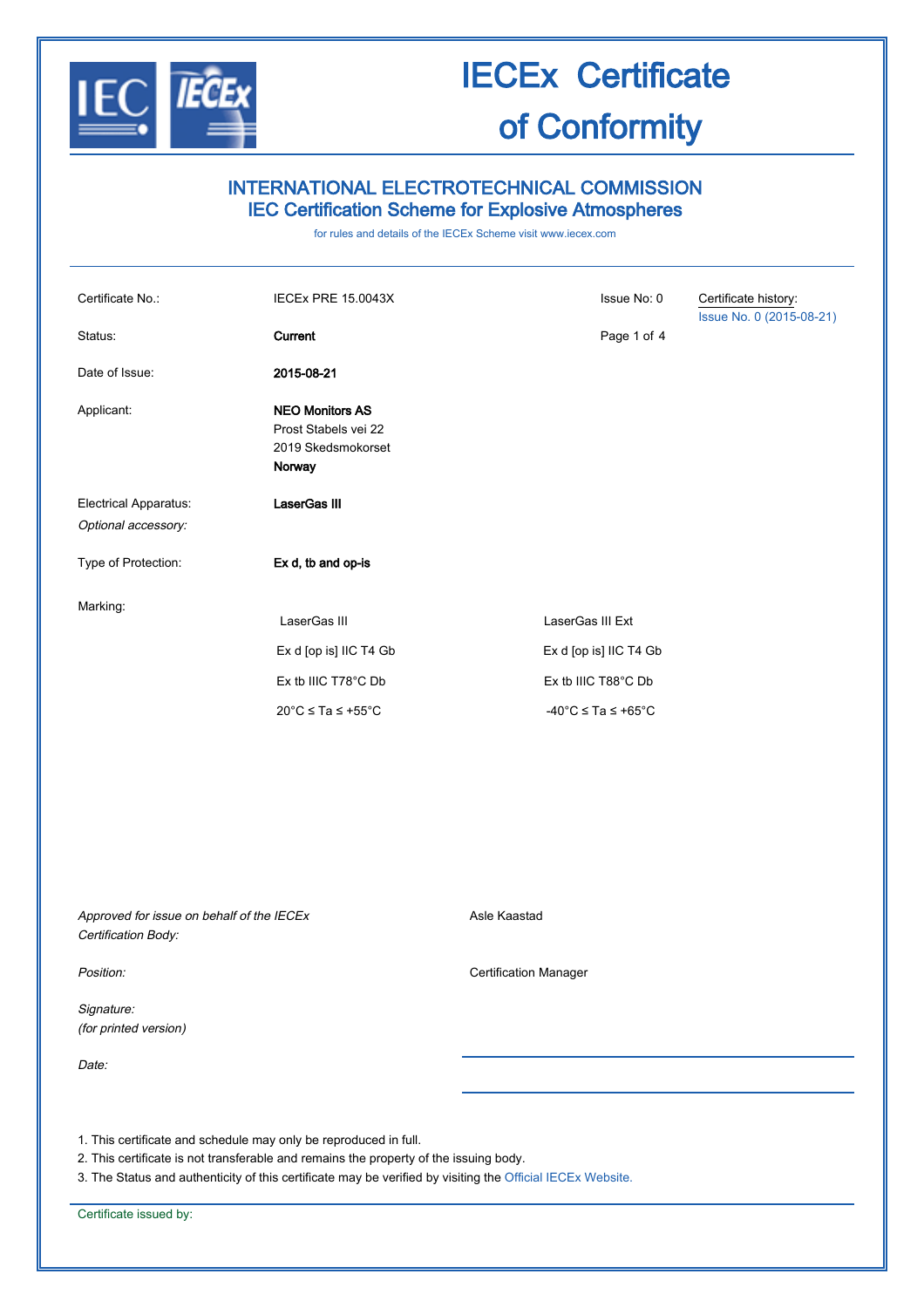

### INTERNATIONAL ELECTROTECHNICAL COMMISSION IEC Certification Scheme for Explosive Atmospheres

for rules and details of the IECEx Scheme visit [www.iecex.com](http://www.iecex.com/)

| Certificate No.:<br>Status:  | <b>IECEX PRE 15.0043X</b><br>Current                                           | Issue No: 0<br>Page 1 of 4                                        | Certificate history:<br>Issue No. 0 (2015-08-21) |
|------------------------------|--------------------------------------------------------------------------------|-------------------------------------------------------------------|--------------------------------------------------|
| Date of Issue:               | 2015-08-21                                                                     |                                                                   |                                                  |
| Applicant:                   | <b>NEO Monitors AS</b><br>Prost Stabels vei 22<br>2019 Skedsmokorset<br>Norway |                                                                   |                                                  |
| <b>Electrical Apparatus:</b> | <b>LaserGas III</b>                                                            |                                                                   |                                                  |
| Optional accessory:          |                                                                                |                                                                   |                                                  |
| Type of Protection:          | Ex d, tb and op-is                                                             |                                                                   |                                                  |
| Marking:                     | LaserGas III<br>Ex d [op is] IIC T4 Gb<br>Ex tb IIIC T78°C Db                  | LaserGas III Ext<br>Ex d [op is] IIC T4 Gb<br>Ex tb IIIC T88°C Db |                                                  |
|                              | $20^{\circ}$ C $\le$ Ta $\le$ +55 $^{\circ}$ C                                 | $-40^{\circ}$ C $\leq$ Ta $\leq$ +65°C                            |                                                  |

Approved for issue on behalf of the IECEx Certification Body:

Signature: (for printed version)

Date:

Asle Kaastad

Position: **Certification Manager Certification Manager** 

1. This certificate and schedule may only be reproduced in full.

2. This certificate is not transferable and remains the property of the issuing body.

3. The Status and authenticity of this certificate may be verified by visiting the [Official IECEx Website.](http://iecex.iec.ch/)

Certificate issued by: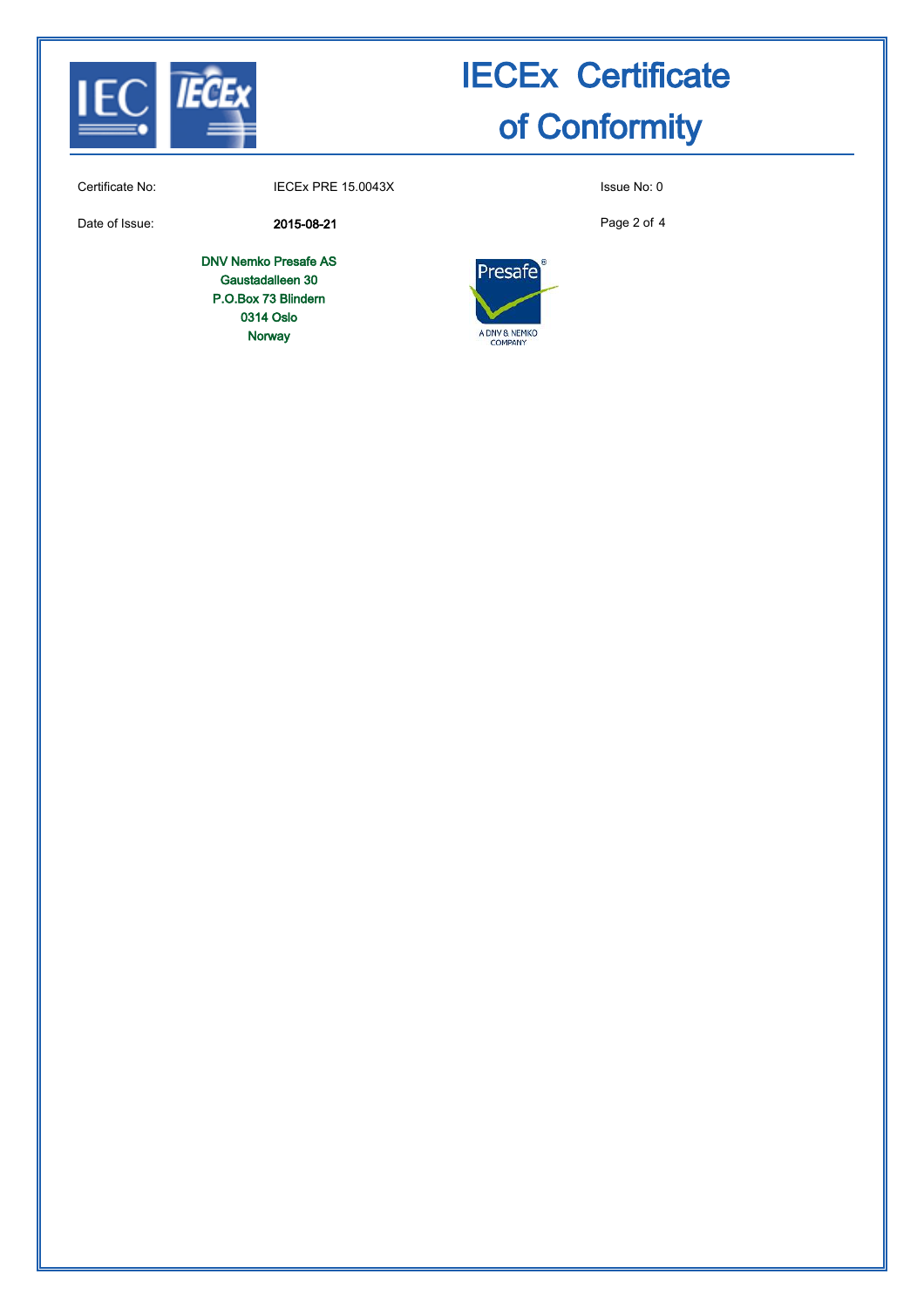

Certificate No: IECEx PRE 15.0043X Issue No: 0

Date of Issue: 2015-08-21

DNV Nemko Presafe AS Gaustadalleen 30 P.O.Box 73 Blindern 0314 Oslo Norway

Page 2 of 4

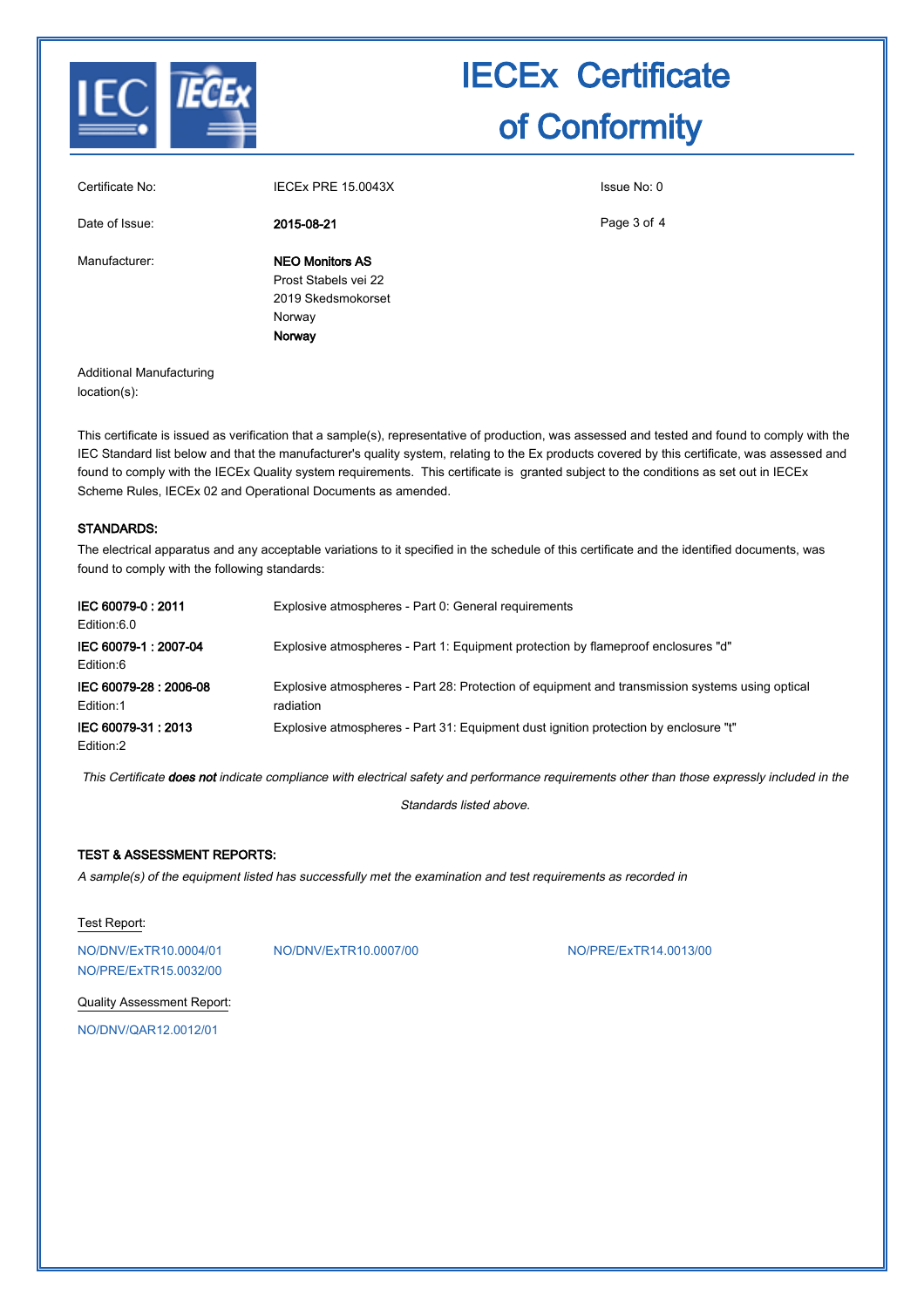

|                 | Norway                 |             |
|-----------------|------------------------|-------------|
|                 |                        |             |
|                 | Norway                 |             |
|                 | 2019 Skedsmokorset     |             |
|                 | Prost Stabels vei 22   |             |
| Manufacturer:   | <b>NEO Monitors AS</b> |             |
| Date of Issue:  | 2015-08-21             | Page 3 of 4 |
| Certificate No: | IECEX PRE 15.0043X     | Issue No: 0 |
|                 |                        |             |

Additional Manufacturing location(s):

This certificate is issued as verification that a sample(s), representative of production, was assessed and tested and found to comply with the IEC Standard list below and that the manufacturer's quality system, relating to the Ex products covered by this certificate, was assessed and found to comply with the IECEx Quality system requirements. This certificate is granted subject to the conditions as set out in IECEx Scheme Rules, IECEx 02 and Operational Documents as amended.

#### STANDARDS:

The electrical apparatus and any acceptable variations to it specified in the schedule of this certificate and the identified documents, was found to comply with the following standards:

| IEC 60079-0:2011<br>Edition:6.0    | Explosive atmospheres - Part 0: General requirements                                                         |
|------------------------------------|--------------------------------------------------------------------------------------------------------------|
| IEC 60079-1: 2007-04<br>Edition:6  | Explosive atmospheres - Part 1: Equipment protection by flameproof enclosures "d"                            |
| IEC 60079-28: 2006-08<br>Edition:1 | Explosive atmospheres - Part 28: Protection of equipment and transmission systems using optical<br>radiation |
| IEC 60079-31: 2013<br>Edition:2    | Explosive atmospheres - Part 31: Equipment dust ignition protection by enclosure "t"                         |

This Certificate does not indicate compliance with electrical safety and performance requirements other than those expressly included in the

Standards listed above.

#### TEST & ASSESSMENT REPORTS:

A sample(s) of the equipment listed has successfully met the examination and test requirements as recorded in

#### Test Report:

[NO/PRE/ExTR15.0032/00](http://iecex.iec.ch/IECEx/IECExWeb.nsf/ExTRNumber/NO/PRE/ExTR15.0032/00?OpenDocument)

[NO/DNV/ExTR10.0004/01](http://iecex.iec.ch/IECEx/IECExWeb.nsf/ExTRNumber/NO/DNV/ExTR10.0004/01?OpenDocument) [NO/DNV/ExTR10.0007/00](http://iecex.iec.ch/IECEx/IECExWeb.nsf/ExTRNumber/NO/DNV/ExTR10.0007/00?OpenDocument) [NO/PRE/ExTR14.0013/00](http://iecex.iec.ch/IECEx/IECExWeb.nsf/ExTRNumber/NO/PRE/ExTR14.0013/00?OpenDocument)

Quality Assessment Report:

[NO/DNV/QAR12.0012/01](http://iecex.iec.ch/IECEx/IECExWeb.nsf/QARNumber/NO/DNV/QAR12.0012/01?OpenDocument)